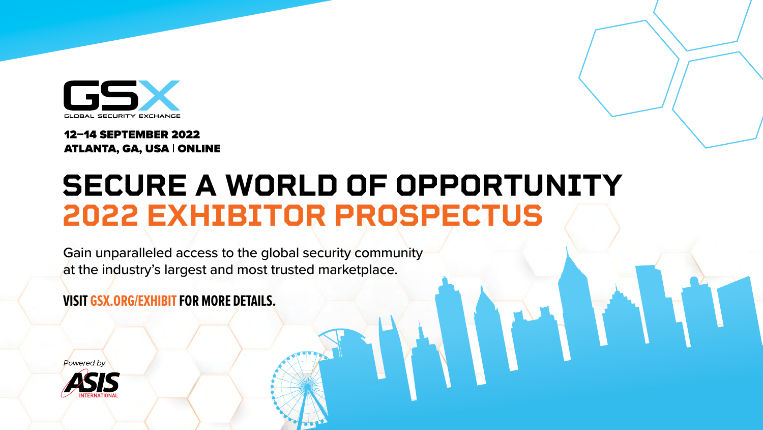

#### **12-14 SEPTEMBER 2022 ATLANTA, GA, USA | ONLINE**

# **SECURE A WORLD OF OPPORTUNITY 2022 EXHIBITOR PROSPECTUS**

Gain unparalleled access to the global security community at the industry's largest and most trusted marketplace.

**VISIT GSX.ORG/EXHIBIT FOR MORE DETAILS.**



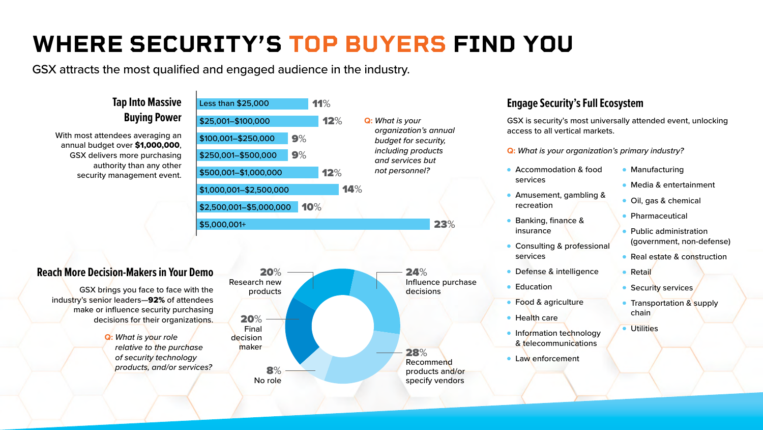### **Tap Into Massive Buying Power**

With most attendees averaging an annual budget over \$1,000,000, GSX delivers more purchasing authority than any other security management event.

#### **Reach More Decision-Makers in Your Demo**

GSX brings you face to face with the industry's senior leaders—92% of attendees make or influence security purchasing decisions for their organizations.

### **Engage Security's Full Ecosystem**

GSX is security's most universally attended event, unlocking access to all vertical markets.

#### **Q:** *What is your organization's primary industry?*

- Accommodation & food
- Amusement, gambling &
- Banking, finance &
- Consulting & professional
- **Defense & intelligence** 
	-
- Food & agriculture
	-
- **Information technology** & telecommunications
- **Law enforcement**
- **Manufacturing**
- Media & entertainment
- Oil, gas & chemical
- **Pharmaceutical**
- Public administration (government, non-defense)
- Real estate & construction
- Retail
- Security services,
- **Transportation & supply** chain
- **Utilities**

# **WHERE SECURITY'S TOP BUYERS FIND YOU**

GSX attracts the most qualified and engaged audience in the industry.



**Q:** *What is your role relative to the purchase of security technology products, and/or services?*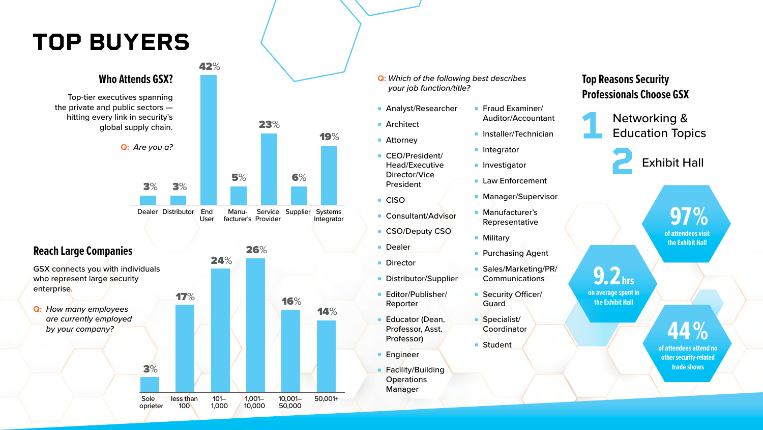## **TOP BUYERS**

**9.2hrs**

**on average spent in the Exhibit Hall**

 **97 %**

**of attendees visit the Exhibit Hall**



### **Top Reasons Security Professionals Choose GSX**

Networking & Education Topics



Exhibit Hall

## **44 %**

**of attendees attend no other security-related trade shows**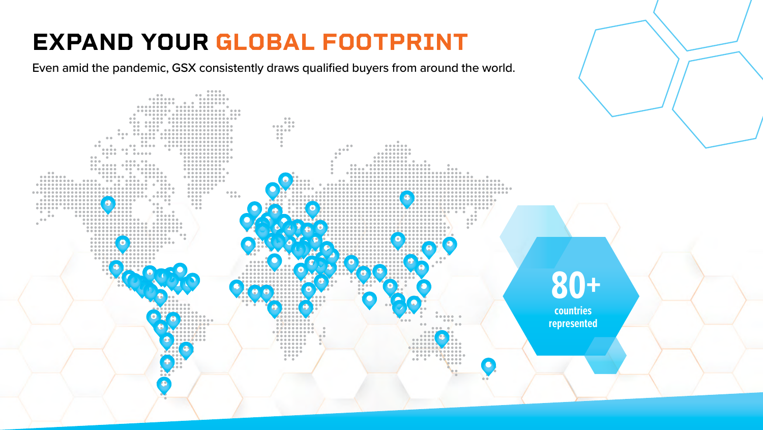# **EXPAND YOUR GLOBAL FOOTPRINT**

Even amid the pandemic, GSX consistently draws qualified buyers from around the world.



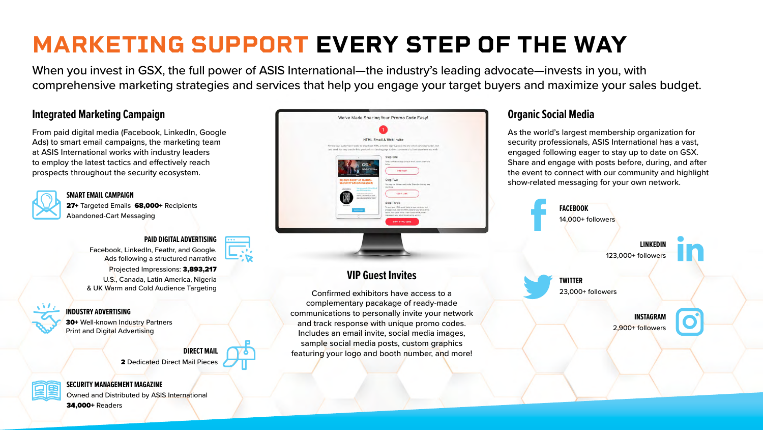#### **VIP Guest Invites**

Confirmed exhibitors have access to a complementary pacakage of ready-made communications to personally invite your network and track response with unique promo codes. Includes an email invite, social media images, sample social media posts, custom graphics featuring your logo and booth number, and more!

#### **Integrated Marketing Campaign**

From paid digital media (Facebook, LinkedIn, Google Ads) to smart email campaigns, the marketing team at ASIS International works with industry leaders to employ the latest tactics and effectively reach prospects throughout the security ecosystem.



27+ Targeted Emails 68,000+ Recipients Abandoned-Cart Messaging



### **Organic Social Media**

30+ Well-known Industry Partners Print and Digital Advertising

> **DIRECT MAIL**  2 Dedicated Direct Mail Pieces



As the world's largest membership organization for security professionals, ASIS International has a vast, engaged following eager to stay up to date on GSX. Share and engage with posts before, during, and after the event to connect with our community and highlight show-related messaging for your own network.

#### **SMART EMAIL CAMPAIGN**

**FACEBOOK** 14,000+ followers **LINKEDIN** 123,000+ followers **TWITTER** 23,000+ followers **INSTAGRAM** 2,900+ followers

#### **PAID DIGITAL ADVERTISING**

Facebook, LinkedIn, Feathr, and Google. Ads following a structured narrative

Projected Impressions: 3,893,217 U.S., Canada, Latin America, Nigeria & UK Warm and Cold Audience Targeting

#### **INDUSTRY ADVERTISING**



Owned and Distributed by ASIS International 34,000+ Readers



# **MARKETING SUPPORT EVERY STEP OF THE WAY**

When you invest in GSX, the full power of ASIS International—the industry's leading advocate—invests in you, with comprehensive marketing strategies and services that help you engage your target buyers and maximize your sales budget.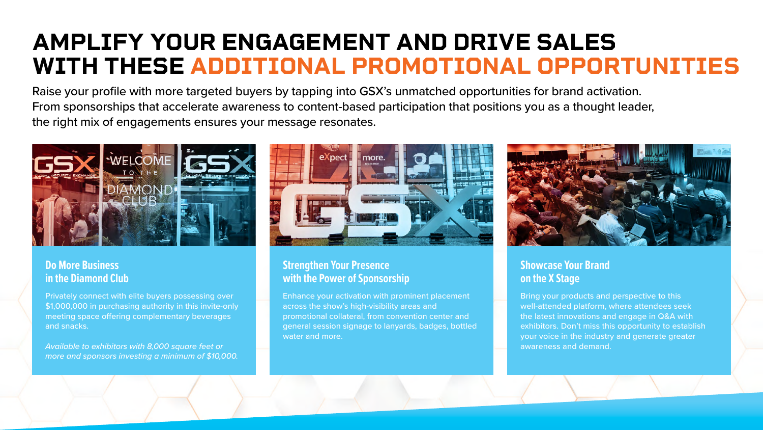## **AMPLIFY YOUR ENGAGEMENT AND DRIVE SALES WITH THESE ADDITIONAL PROMOTIONAL OPPORTUNITIES**

Raise your profile with more targeted buyers by tapping into GSX's unmatched opportunities for brand activation. From sponsorships that accelerate awareness to content-based participation that positions you as a thought leader, the right mix of engagements ensures your message resonates.



#### **Strengthen Your Presence with the Power of Sponsorship**

Enhance your activation with prominent placement across the show's high-visibility areas and promotional collateral, from convention center and general session signage to lanyards, badges, bottled water and more.



#### **Showcase Your Brand on the X Stage**

Bring your products and perspective to this well-attended platform, where attendees seek the latest innovations and engage in Q&A with exhibitors. Don't miss this opportunity to establish your voice in the industry and generate greater awareness and demand.

#### **Do More Business in the Diamond Club**

Privately connect with elite buyers possessing over \$1,000,000 in purchasing authority in this invite-only meeting space offering complementary beverages and snacks.

*Available to exhibitors with 8,000 square feet or more and sponsors investing a minimum of \$10,000.*

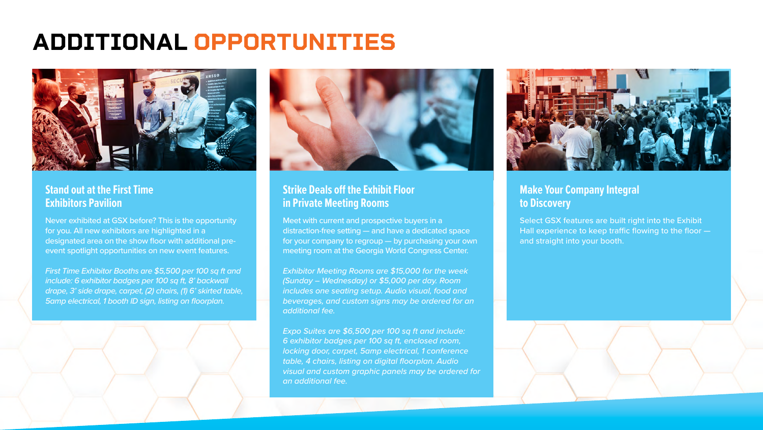## **ADDITIONAL OPPORTUNITIES**



#### **Stand out at the First Time Exhibitors Pavilion**

Never exhibited at GSX before? This is the opportunity for you. All new exhibitors are highlighted in a designated area on the show floor with additional preevent spotlight opportunities on new event features.

*First Time Exhibitor Booths are \$5,500 per 100 sq ft and include: 6 exhibitor badges per 100 sq ft, 8' backwall drape, 3' side drape, carpet, (2) chairs, (1) 6' skirted table, 5amp electrical, 1 booth ID sign, listing on floorplan.*



#### **Strike Deals off the Exhibit Floor in Private Meeting Rooms**

Meet with current and prospective buyers in a distraction-free setting — and have a dedicated space for your company to regroup — by purchasing your own meeting room at the Georgia World Congress Center.

*Exhibitor Meeting Rooms are \$15,000 for the week (Sunday – Wednesday) or \$5,000 per day. Room includes one seating setup. Audio visual, food and beverages, and custom signs may be ordered for an additional fee.*

*Expo Suites are \$6,500 per 100 sq ft and include: 6 exhibitor badges per 100 sq ft, enclosed room, locking door, carpet, 5amp electrical, 1 conference table, 4 chairs, listing on digital floorplan. Audio visual and custom graphic panels may be ordered for an additional fee.*





#### **Make Your Company Integral to Discovery**

Select GSX features are built right into the Exhibit Hall experience to keep traffic flowing to the floor and straight into your booth.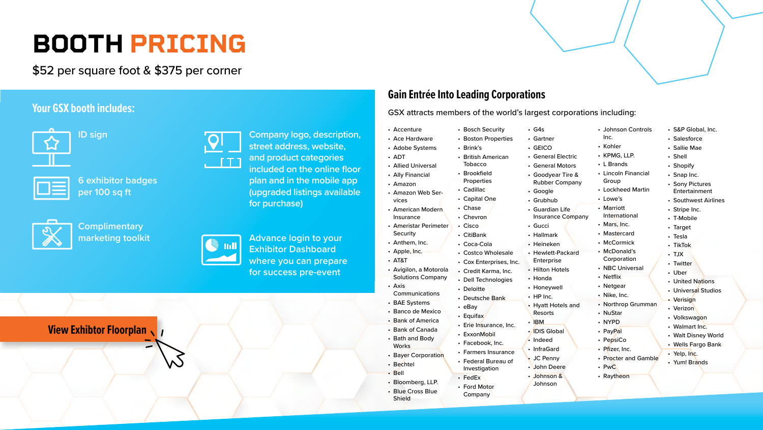# **BOOTH PRICING**

\$52 per square foot & \$375 per corner

**[View Exhibtor Floorplan](https://gsx22.mapyourshow.com/8_0/exhview/index.cfm)**



### **Gain Entrée Into Leading Corporations**

GSX attracts members of the world's largest corporations including:

- Accenture
- Ace Hardware
- Adobe Systems
- ADT
- Allied Universal
- Ally Financial
- Amazon
- Amazon Web Services
- American Modern Insurance
- Ameristar Perimeter
- **Security**
- Anthem, Inc.
- Apple, Inc.
- AT&T
- Avigilon, a Motorola
- Solutions Company
- Axis Communications
- BAE Systems
- Banco de Mexico
- Bank of America
- Bank of Canada
- Bath and Body
- **Works**
- Bayer Corporation
- Bechtel
- Bell
- Bloomberg, LLP.
- Blue Cross Blue Shield
- G4s
- Gartner
- GEICO
- General Electric
- General Motors
- Goodyear Tire &
- Rubber Company
- Google
- Grubhub
- Guardian Life
- Insurance Company
- Gucci
- Hallmark
- Heineken
- Hewlett-Packard
- Enterprise
- Hilton Hotels
- Honda
- Honeywell
- HP Inc.
- Hyatt Hotels and Resorts
- IBM
- IDIS Global
- Indeed
- InfraGard
- JC Penny
- John Deere
- Johnson &
- **Johnson**
- Bosch Security
- Boston Properties
- Brink's
- British American Tobacco
- Brookfield
- Properties
- Cadillac
- Capital One
- Chase
- Chevron
- Cisco
- CitiBank
- Coca-Cola
- Costco Wholesale
- Cox Enterprises, Inc.
- Credit Karma, Inc.
- Dell Technologies
- Deloitte
- Deutsche Bank
- eBay
- Equifax
- Erie Insurance, Inc.
- ExxonMobil
- Facebook, Inc.
- Farmers Insurance
- Federal Bureau of Investigation
- FedEx
- Ford Motor
- -
	- - - -
- 
- 
- 
- 
- 
- 
- 
- 
- 

**Company** 



- S&P Global, Inc.
- Salesforce
- Sallie Mae
- Shell
- Shopify
- Snap Inc.
- Sony Pictures Entertainment
- Southwest Airlines
- Stripe Inc.
- T-Mobile
- Target
- Tesla
- TikTok
- TJX
- Twitter
- Uber
- United Nations
- Universal Studios
- Verisign
- Verizon
- Volkswagon
- Walmart Inc.
- Walt Disney World
- Wells Fargo Bank
- Yelp, Inc.
- Yum! Brands
- Johnson Controls Inc.
- Kohler
- KPMG, LLP.
- L Brands
- Lincoln Financial Group
- Lockheed Martin
- Lowe's
- Marriott International
- Mars, Inc.
- Mastercard
- McCormick
- McDonald's Corporation
- NBC Universal
- Netflix
- Netgear
- Nike, Inc.
- Northrop Grumman
- NuStar
- NYPD
- PayPal
- PepsiCo
- Pfizer, Inc.
- Procter and Gamble
- PwC
- Raytheon

**ID sign**

**6 exhibitor badges per 100 sq ft**



**Complimentary marketing toolkit**

**Company logo, description, street address, website, and product categories included on the online floor plan and in the mobile app (upgraded listings available for purchase)**

**Advance login to your Exhibitor Dashboard where you can prepare for success pre-event**

#### **Your GSX booth includes:**